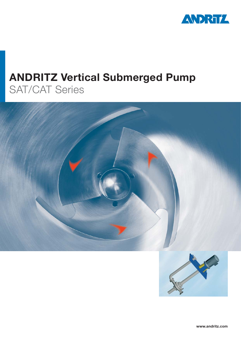

# **ANDRITZ Vertical Submerged Pump** SAT/CAT Series

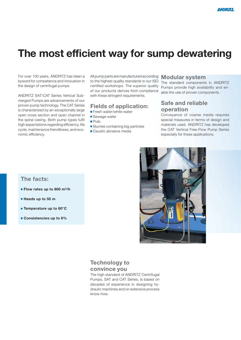# **The most efficient way for sump dewatering**

For over 100 years, ANDRITZ has been a byword for competence and innovation in the design of centrifugal pumps.

ANDRITZ SAT/CAT Series Vertical Submerged Pumps are advancements of our proven pump technology. The CAT Series is characterized by an exceptionally large open cross section and open channel in the spiral casing. Both pump types fulfil high expectations regarding efficiency, life cycle, maintenance friendliness, and economic efficiency.

All pump parts are manufactured according **Modular system** to the highest quality standards in our ISO certified workshops. The superior quality of our products derives from compliance with these stringent requirements.

#### **Fields of application:**

- **Fresh water/white water**
- Sewage water
- **Pulp**
- **Slurries containing big particles**
- Caustic abrasive media

The standard components in ANDRITZ Pumps provide high availability and enable the use of proven components.

### **Safe and reliable operation**

Conveyance of coarse media requires special measures in terms of design and materials used. ANDRITZ has developed the CAT Vertical Free-Flow Pump Series especially for these applications.



### **The facts:**

- **Flow rates up to 800 m<sup>3</sup>/h**
- **Heads up to 50 m**
- **Temperature up to 60°C**
- **Consistencies up to 6%**

### **Technology to convince you**

The high standard of ANDRITZ Centrifugal Pumps, SAT and CAT Series, is based on decades of experience in designing hydraulic machines and on extensive process know-how.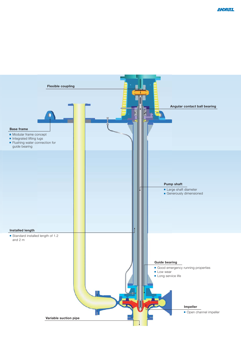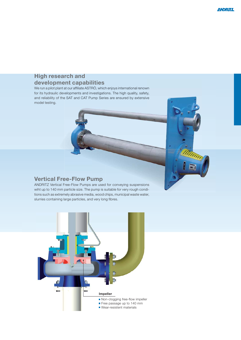# **High research and**  development capabilities

We run a pilot plant at our affiliate ASTRÖ, which enjoys international renown for its hydraulic developments and investigations. The high quality, safety, and reliability of the SAT and CAT Pump Series are ensured by extensive model testing.

## **Vertical Free-Flow Pump**

ANDRITZ Vertical Free-Flow Pumps are used for conveying suspensions wiht up to 140 mm particle size. The pump is suitable for very rough conditions such as extremely abrasive media, wood chips, municipal waste water, slurries containing large particles, and very long fibres.

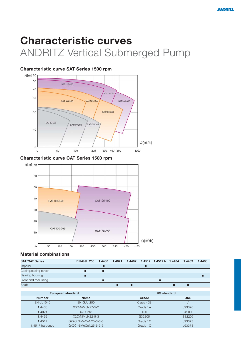# **Characteristic curves** ANDRITZ Vertical Submerged Pump

### **Characteristic curve SAT Series 1500 rpm**



#### **Characteristic curve CAT Series 1500 rpm**



#### **Material combinations**

| <b>SAT/CAT Series</b> | EN-GJL 250 1.4460 1.4021 1.4462 1.4517 1.4517 h 1.4404 |  |  |  | 1.4439 | 1.4468 |
|-----------------------|--------------------------------------------------------|--|--|--|--------|--------|
| <b>Impeller</b>       |                                                        |  |  |  |        |        |
| Casing/casing cover   |                                                        |  |  |  |        |        |
| Bearing housing       |                                                        |  |  |  |        |        |
| Front and rear lining |                                                        |  |  |  |        |        |
| Shaft                 |                                                        |  |  |  |        |        |

|                 | European standard    | <b>US standard</b> |            |  |  |
|-----------------|----------------------|--------------------|------------|--|--|
| <b>Number</b>   | <b>Name</b>          | Grade              | <b>UNS</b> |  |  |
| $EN$ -JL1040    | $EN-GJL 250$         | Class 40B          |            |  |  |
| 1.4460          | X3CrNiMoN27-5-2      | Grade 1A           | J93370     |  |  |
| 1.4021          | X20Cr13              | 420                | S42000     |  |  |
| 1.4462          | X2CrNiMoN22-5-3      | S32205             | S32205     |  |  |
| 1.4517          | GX2CrNiMoCuN25-6-3-3 | Grade 1C           | J93373     |  |  |
| 1.4517 hardened | GX2CrNiMoCuN25-6-3-3 | Grade 1C           | J93373     |  |  |